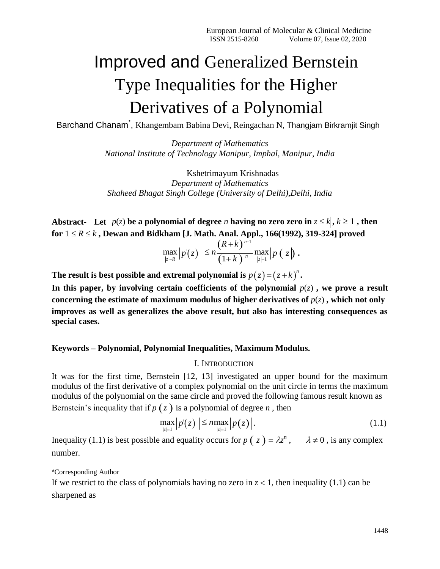# Improved and Generalized Bernstein Type Inequalities for the Higher Derivatives of a Polynomial

Barchand Chanam\* , Khangembam Babina Devi, Reingachan N, Thangjam Birkramjit Singh

*Department of Mathematics National Institute of Technology Manipur, Imphal, Manipur, India*

Kshetrimayum Krishnadas *Department of Mathematics Shaheed Bhagat Singh College (University of Delhi),Delhi, India*

**Abstract-** Let  $p(z)$  be a polynomial of degree *n* having no zero zero in  $z \le k$ ,  $k \ge 1$ , then for  $1 \le R \le k$ , Dewan and Bidkham [J. Math. Anal. Appl., 166(1992), 319-324] proved

$$
\max_{|z|=R} |p'(z)| \leq n \frac{(R+k)^{n-1}}{(1+k)^{n}} \max_{|z|=1} |p(z)|.
$$

The result is best possible and extremal polynomial is  $p(z) = (z + k)^n$ .

In this paper, by involving certain coefficients of the polynomial  $p(z)$ , we prove a result **concerning the estimate of maximum modulus of higher derivatives of**  $p(z)$ **, which not only improves as well as generalizes the above result, but also has interesting consequences as special cases.**

### **Keywords – Polynomial, Polynomial Inequalities, Maximum Modulus.**

#### I. INTRODUCTION

It was for the first time, Bernstein [12, 13] investigated an upper bound for the maximum modulus of the first derivative of a complex polynomial on the unit circle in terms the maximum modulus of the polynomial on the same circle and proved the following famous result known as Bernstein's inequality that if  $p(z)$  is a polynomial of degree *n*, then

$$
\max_{|z|=1} |p'(z)| \leq n \max_{|z|=1} |p(z)|. \tag{1.1}
$$

Inequality (1.1) is best possible and equality occurs for  $p(z) = \lambda z^n$ ,  $\lambda \neq 0$ , is any complex number.

\*Corresponding Author

If we restrict to the class of polynomials having no zero in  $z \le 1$ , then inequality (1.1) can be sharpened as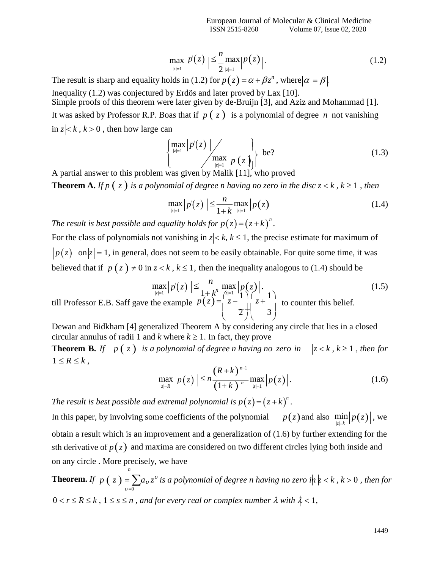$$
\max_{|z|=1} |p'(z)| \leq \frac{n}{2} \max_{|z|=1} |p(z)|.
$$
 (1.2)

The result is sharp and equality holds in (1.2) for  $p(z) = \alpha + \beta z^n$ , where  $|\alpha| = |\beta|$ Inequality (1.2) was conjectured by Erdös and later proved by Lax [10].

Simple proofs of this theorem were later given by de-Bruijn [3], and Aziz and Mohammad [1]. It was asked by Professor R.P. Boas that if  $p(z)$  is a polynomial of degree *n* not vanishing  $\inf |z| < k$ ,  $k > 0$ , then how large can

$$
\left\{\max_{|z|=1} |p(z)| \middle| \min_{|z|=1} |p(z)|\right\} \text{ be?}
$$
\n(1.3)

A partial answer to this problem was given by Malik [11], who proved

**Theorem A.** *If*  $p$  ( $z$ ) *is a polynomial of degree n having no zero in the disc*  $z < k$ ,  $k \ge 1$ , *then* 

$$
\max_{|z|=1} |p'(z)| \leq \frac{n}{1+k} \max_{|z|=1} |p(z)| \tag{1.4}
$$

*The result is best possible and equality holds for*  $p(z) = (z + k)^n$ *.* 

For the class of polynomials not vanishing in  $z \, \langle \, k, k \leq 1$ , the precise estimate for maximum of  $p(z)$  on  $|z|=1$ , in general, does not seem to be easily obtainable. For quite some time, it was believed that if  $p(z) \neq 0$  in  $|z| < k$ ,  $k \leq 1$ , then the inequality analogous to (1.4) should be

$$
\max_{|z|=1} |p(z)| \le \frac{n}{1+k^n} \max_{|z|=1} |p(z)|.
$$
\nwill Professor E.B. Saff gave the example

\n
$$
p(z) = \begin{pmatrix} 2 - 1 \\ z - \frac{1}{2} \end{pmatrix} \begin{pmatrix} z \\ z + \frac{1}{3} \end{pmatrix}
$$
\nto counter this belief.

Dewan and Bidkham [4] generalized Theorem A by considering any circle that lies in a closed circular annulus of radii 1 and *k* where  $k \ge 1$ . In fact, they prove

**Theorem B.** *If*  $p(z)$  *is a polynomial of degree n having no zero in*  $|z| < k$ ,  $k \ge 1$ , then for  $1 \leq R \leq k$ ,

$$
\max_{|z|=R} |p'(z)| \leq n \frac{(R+k)^{n-1}}{(1+k)^{n}} \max_{|z|=1} |p(z)|.
$$
 (1.6)

*The result is best possible and extremal polynomial is*  $p(z) = (z + k)^n$ .

*n*

In this paper, by involving some coefficients of the polynomial  $p(z)$  and also  $\min_{|z|=k} |p(z)|$ , we obtain a result which is an improvement and a generalization of (1.6) by further extending for the *sth* derivative of  $p(z)$  and maxima are considered on two different circles lying both inside and on any circle . More precisely, we have

**Theorem.** If 
$$
p(z) = \sum_{v=0} a_v z^v
$$
 is a polynomial of degree n having no zero  $i | n \nmid z < k$ ,  $k > 0$ , then for  $0 < r \leq R \leq k$ ,  $1 \leq s \leq n$ , and for every real or complex number  $\lambda$  with  $\lambda \nmid 1$ ,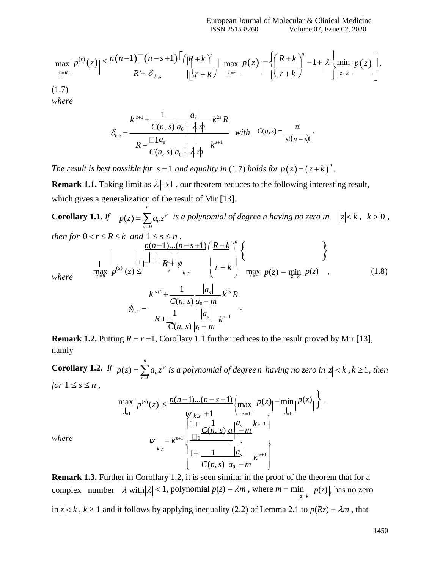$$
\max_{|z|=R} |P^{(s)}(z)| \leq \frac{n(n-1)\Big[ (n-s+1)\Big[ (\vert R+k \vert)^n \Big]}{R^s + \delta_{k,s}} \cdot \frac{\vert R+k \vert^n \vert}{\vert \lfloor r+k \rfloor} \cdot \max_{|z|=r} |P(z)|^{-\left\{ \left( \frac{R+k}{r+k} \right)^n - 1 + \vert \lambda \vert \right\}} \cdot \min_{|z|=k} |P(z)| \Big],
$$

(1.7)

*where*

$$
\delta_{k,s} = \frac{k^{s+1} + \frac{1}{C(n,s)} \frac{|a_s|}{|a_0 + A_n}}{R + \frac{\Box 1a_s}{C(n,s)} \frac{|a_0 + A_n}{|a_0 + A_n}} \quad \text{with} \quad C(n,s) = \frac{n!}{s!(n-s)!}.
$$

*The result is best possible for*  $s = 1$  *and equality in* (1.7) *holds for*  $p(z) = (z + k)^n$ .

**Remark 1.1.** Taking limit as  $\lambda \neq 1$ , our theorem reduces to the following interesting result, which gives a generalization of the result of Mir [13]. *n*

**Corollary 1.1.** *If*  $p(z) = \sum a_i z^v$  $\overline{v=0}$ *is a polynomial of degree n having no zero in*  $|z| < k$ ,  $k > 0$ ,

then for 
$$
0 < r \le R \le k
$$
 and  $1 \le s \le n$ ,  
\n
$$
\underbrace{n(n-1)...(n-s+1)}_{\text{max}} \left\{ R + k \atop r+k \right\}^n \left\{ \left\{ \right\}
$$
\nwhere  $\underbrace{\left| \bigcup_{z \in R} \bigcup_{k=1}^{n} \left| \bigcup_{z \in R} \bigcup_{k=s}^{n} \bigcup_{k=s}^{n} \bigcup_{z \in R} \bigcup_{k=s}^{n} p(z) - \min_{z \in R} p(z) \right|} \right\}$  (1.8)

$$
\phi_{k,s} = \frac{k^{s+1} + \frac{1}{C(n,s)} \frac{|a_s|}{|a_0 + m} k^{2s} R}{R + \frac{1}{C(n,s)} \frac{|a_s|}{|a_0 + m} k^{s+1}}.
$$

**Remark 1.2.** Putting  $R = r = 1$ , Corollary 1.1 further reduces to the result proved by Mir [13], namly

**Corollary 1.2.** If  $p(z) = \sum a_i z_i$  is a polynomial of degree *n* having no zero in $|z| < k$ ,  $k \ge 1$ , then *for*  $1 \leq s \leq n$ ,  $\overline{v=0}$ *n*

$$
\max_{\left|\frac{L}{c}\right|_{2}} |p^{(s)}(z)| \leq \frac{n(n-1)...(n-s+1)}{\psi_{k,s} + 1} \left\{ \max_{\left|\frac{L}{c}\right|_{2}} |p(z)| - \min_{\left|\frac{L}{c}\right|_{k}} |p(z)| \right\},
$$
\n
$$
\psi_{k,s} = k^{s+1} \left\{ \frac{\log C(n,s)}{1 + \frac{1}{C(n,s)} \log \left|\frac{a_s}{a_s}\right|} \right\}.
$$

 $where$ 

**Remark 1.3.** Further in Corollary 1.2, it is seen similar in the proof of the theorem that for a complex number  $\lambda$  with  $|\lambda| < 1$ , polynomial  $p(z) - \lambda m$ , where  $m = \min_{|z|=k} |p(z)|$ , has no zero  $\inf |z| \le k$ ,  $k \ge 1$  and it follows by applying inequality (2.2) of Lemma 2.1 to  $p(Rz) - \lambda m$ , that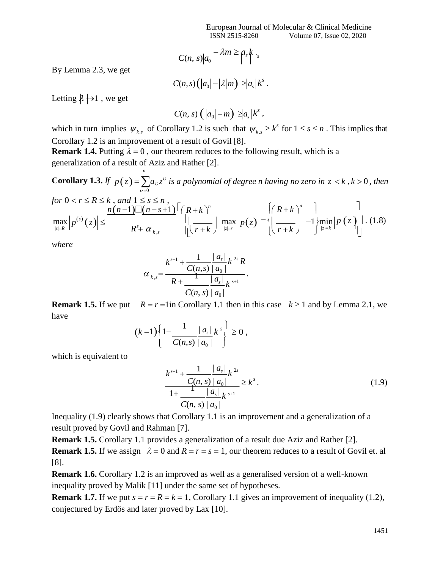$$
C(n, s)|a_0 - \lambda m| \geq a_s k
$$

By Lemma 2.3, we get

$$
C(n,s)\big(\big|a_0\big|-\big|\lambda\big|m\big)\geq |a_s|k^s.
$$

Letting  $\lambda \mapsto 1$ , we get

$$
C(n, s) \left( |a_0| - m \right) \geq |a_s| k^s,
$$

which in turn implies  $\psi_{k,s}$  of Corollary 1.2 is such that  $\psi_{k,s} \geq k^s$  for  $1 \leq s \leq n$ . This implies that Corollary 1.2 is an improvement of a result of Govil [8].

**Remark 1.4.** Putting  $\lambda = 0$ , our theorem reduces to the following result, which is a generalization of a result of Aziz and Rather [2].

*n*

**Corollary 1.3.** If  $p(z) = \sum a_v z_v$  is a polynomial of degree *n* having no zero in  $z \, k$  ,  $k > 0$ , then  $v = 0$ 

for 
$$
0 < r \le R \le k
$$
, and  $1 \le s \le n$ ,  
\n
$$
\max_{|z|=R} |p^{(s)}(z)| \le \frac{n(n-1)\Big[\frac{(n-s+1)}{s} \Big]^r (R+k)^n}{R^s + \alpha_{k,s}} \qquad \Big|\Big|\Big[\frac{R+k}{r+k}\Big]^{n} \max_{|z|=r} |p(z)|^{-\frac{1}{2}} \Big|\Big[\frac{R+k}{r+k}\Big]^{n-1} + \frac{\Big[\min_{|z|=k} |p(z)|\Big]^r (1.8)}{\Big|\Big|^{1/2}}.
$$

*where*

$$
\alpha_{k,s} = \frac{k^{s+1} + \frac{1}{C(n,s)} \frac{|a_s|}{|a_0|} k^{2s} R}{R + \frac{1}{C(n,s)} \frac{|a_s|}{|a_0|} k^{s+1}}.
$$

**Remark 1.5.** If we put  $R = r = \lim$  Corollary 1.1 then in this case  $k \ge 1$  and by Lemma 2.1, we have

$$
(k-1)\left\{1-\frac{1}{C(n,s)\,|\,a_0\,|\,k^s\right\}\geq 0\;,
$$

which is equivalent to

$$
\frac{k^{s+1} + \frac{1}{C(n, s)} \left| a_s \right|}{1 + \frac{1}{C(n, s)} \left| a_s \right|} \ge k^s.
$$
\n(1.9)

Inequality (1.9) clearly shows that Corollary 1.1 is an improvement and a generalization of a result proved by Govil and Rahman [7].

**Remark 1.5.** Corollary 1.1 provides a generalization of a result due Aziz and Rather [2].

**Remark 1.5.** If we assign  $\lambda = 0$  and  $R = r = s = 1$ , our theorem reduces to a result of Govil et. all [8].

**Remark 1.6.** Corollary 1.2 is an improved as well as a generalised version of a well-known inequality proved by Malik [11] under the same set of hypotheses.

**Remark 1.7.** If we put  $s = r = R = k = 1$ , Corollary 1.1 gives an improvement of inequality (1.2), conjectured by Erdös and later proved by Lax [10].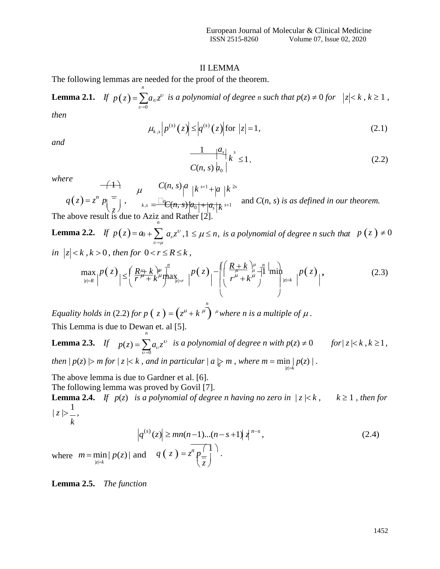### II LEMMA

The following lemmas are needed for the proof of the theorem.

*n*

*n*

**Lemma 2.1.** If 
$$
p(z) = \sum_{v=0} a_v z^v
$$
 is a polynomial of degree *n* such that  $p(z) \neq 0$  for  $|z| < k$ ,  $k \geq 1$ ,

*then*

$$
\mu_{k,s} | p^{(s)}(z) | \le |q|^{(s)}(z) |
$$
 for  $|z| = 1$ , (2.1)

*and*

$$
\frac{1}{C(n,s)}\left|\frac{a_s}{a_0}\right| \le 1,\tag{2.2}
$$

*where*

$$
q(z) = z^n p \left( \frac{z}{z} \right), \qquad \mu \qquad C(n, s) \left| \frac{a}{k^{s+1}} \right| \left| k \right|^{2s}
$$
\n
$$
q(z) = z^n p \left( \frac{z}{z} \right), \qquad \mu \leq \frac{\Box_{\mathbb{C}}(n, s) \left[ a_0 \right] + \left| a_s \right| k^{2s}}{\Lambda_{\mathbb{C}} \left[ a \right] \left| k \right|^{s+1}}
$$
\nand  $C(n, s)$  is as defined in our theorem.

\nThe above result is due to Aziz and Rather [2].

**Lemma 2.2.** *If*  $p(z) = a_0 + \sum a_v z_v$ ,  $1 \le \mu \le n$ , is a polynomial of degree n such that  $v = \mu$  $p(z) \neq 0$ *in*  $|z| < k$ ,  $k > 0$ , then for  $0 < r \le R \le k$ ,

$$
\max_{|z|=R} |P(z)| \leq \left(\frac{R^{\mu} + k}{r^{\mu} + k^{\mu}} \max_{|z|=r} \left| P(z) \right| - \left( \left( \frac{R+k}{r^{\mu} + k^{\mu}} \right) \min_{\mu \neq k} \left| P(z) \right| \right), \tag{2.3}
$$

*Equality holds in* (2.2) *for p*  $(z) = (z^{\mu} + k^{\mu})^{\mu}$  *where n is a multiple of*  $\mu$ . This Lemma is due to Dewan et. al [5]. *n*

then  $|p(z)| > m$  for  $|z| < k$ , and in particular  $|a| > m$ , where  $m = \min_{|z|=k} |p(z)|$ . **Lemma 2.3.** *If*  $p(z) = \sum a_i z^b$  $\overline{v=0}$ *is a polynomial of degree n with*  $p(z) \neq 0$  *for*  $|z| \leq k$ ,  $k \geq 1$ ,

The above lemma is due to Gardner et al. [6]. The following lemma was proved by Govil [7].

**Lemma 2.4.** *If*  $p(z)$  *is a polynomial of degree n having no zero in*  $|z| \le k$ ,  $k \ge 1$ , *then for*  $|z| > \frac{1}{2}$ ,

$$
\left| q^{(s)}(z) \right| \ge mn(n-1)...(n-s+1) \left| \frac{1}{4}^{n-s} \right|,
$$
\n
$$
\left| p(z) \right| \text{ and } q(z) = z^n \left| \frac{1}{z} \right|.
$$
\n
$$
(2.4)
$$

**Lemma 2.5.** *The function*

 $|z|=k$ 

*k*

where  $m = \min$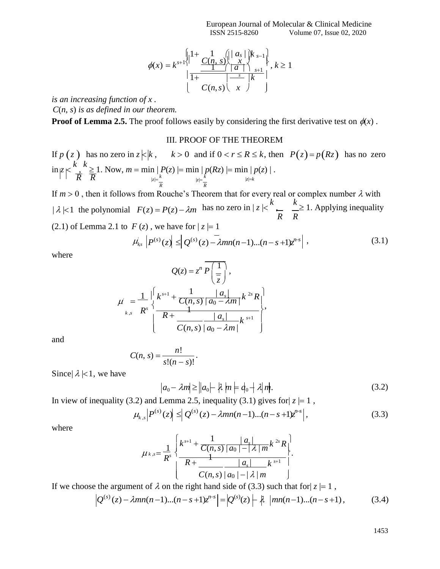$$
\phi(x) = k^{s+1} \begin{cases} |1 + \frac{1}{C(n, s)} \left( |a_s| \right) k_{s-1} \\ \frac{1}{1 + \frac{1}{C(n, s)} \left( |a_s| \right) k_{s+1}} \end{cases}, k \ge 1
$$

*is an increasing function of x . C*(*n*, *s*) *is as defined in our theorem.*

**Proof of Lemma 2.5.** The proof follows easily by considering the first derivative test on  $\phi(x)$ .

## III. PROOF OF THE THEOREM

If  $p(z)$  has no zero in  $z \nmid k$ ,  $k > 0$  and if  $0 < r \le R \le k$ , then  $P(z) = p(Rz)$  has no zero  $\inf_{|z| < \infty} \frac{k}{t} \geq 1$ . Now,  $m = \min |P(z)| = \min |p(Rz)| = \min |p(z)|$ .  $\overline{R}$  **R**  $|z| = \frac{k}{k}$   $|z| = k$   $|z| = k$ *R R*

If  $m > 0$ , then it follows from Rouche's Theorem that for every real or complex number  $\lambda$  with  $|\lambda| < 1$  the polynomial  $F(z) = P(z) - \lambda m$  has no zero in  $|z| < \kappa$ , *R*  $k \geq 1$ . Applying inequality *R* (2.1) of Lemma 2.1 to  $F(z)$ , we have for  $|z|=1$ 

$$
\mu'_{ks} \left| P^{(s)}(z) \right| \leq \left| Q^{(s)}(z) - \lambda mn(n-1)...(n-s+1)z^{n-s} \right|,
$$
\n(3.1)

where

$$
Q(z) = zn \overline{P\left(\frac{1}{z}\right)},
$$
  

$$
\mu' = \frac{1}{R^s} \Bigg\{\frac{k^{s+1} + \frac{1}{C(n,s)} \frac{|a_s|}{|a_0 - \lambda m|} k^{2s} R}{\frac{1}{C(n,s)} \frac{|a_s|}{|a_0 - \lambda m|} k^{s+1}}\Bigg\},
$$

and

$$
C(n, s) = \frac{n!}{s!(n-s)!}.
$$

Since  $\lambda$  |<1, we have

$$
|a_0 - \lambda m| \ge ||a_0| - |\lambda| m \models d_0 - |\lambda| m. \tag{3.2}
$$

In view of inequality (3.2) and Lemma 2.5, inequality (3.1) gives for  $|z| = 1$ ,

$$
\mu_{k,s} \left| P^{(s)}(z) \right| \leq \left| Q^{(s)}(z) - \lambda mn(n-1)...(n-s+1)z^{n-s} \right|,
$$
\n(3.3)

where

$$
\mu_{k,s} = \frac{1}{R^s} \left\{ \frac{k^{s+1} + \frac{1}{C(n,s)} \left| a_0 \right| - |\lambda| m^{k^{2s}} R}{R + \frac{1}{C(n,s)} \left| a_0 \right| - |\lambda| m} \right\}.
$$

If we choose the argument of  $\lambda$  on the right hand side of (3.3) such that for  $|z| = 1$ ,

$$
\left| Q^{(s)}(z) - \lambda mn(n-1)...(n-s+1)z^{n-s} \right| = \left| Q^{(s)}(z) \right| + \lambda \left| mn(n-1)...(n-s+1) \right|,
$$
 (3.4)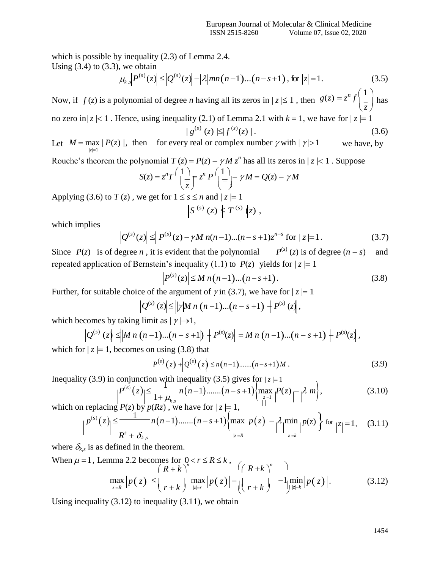which is possible by inequality (2.3) of Lemma 2.4. Using  $(3.4)$  to  $(3.3)$ , we obtain

$$
\mu_{k,s} \left| P^{(s)}(z) \right| \leq \left| Q^{(s)}(z) \right| - \left| \lambda \right| mn(n-1)...(n-s+1), \text{ for } |z| = 1. \tag{3.5}
$$

Now, if  $f(z)$  is a polynomial of degree *n* having all its zeros in  $|z| \le 1$ , then  $g(z) = z^n \frac{f(1)}{z}$  $(z)$ has no zero in $|z| < 1$ . Hence, using inequality (2.1) of Lemma 2.1 with  $k = 1$ , we have for  $|z| = 1$ 

$$
|g^{(s)}(z)| \leq |f^{(s)}(z)|. \tag{3.6}
$$

Let  $M = \max | P(z) |$ , then for every real or complex number  $\gamma$  with  $|\gamma| > 1$  $|z|=1$ we have, by

Rouche's theorem the polynomial *T* (*z*) = *P*(*z*) − *γ M z*<sup>*n*</sup> has all its zeros in | *z* | *<* 1. Suppose\n
$$
S(z) = z^n T \left( \frac{1}{z} \right) = \frac{1}{z} z^n P \left( \frac{1}{z} \right) - \frac{1}{\gamma} M = Q(z) - \frac{1}{\gamma} M
$$

Applying (3.6) to  $T(z)$ , we get for  $1 \le s \le n$  and  $|z| = 1$ 

$$
S^{(s)}(\phi) \nvert T^{(s)}(\zeta),
$$

which implies

$$
\left| Q^{(s)}(z) \right| \le \left| P^{(s)}(z) - \gamma M n(n-1)...(n-s+1)z^n \right|^{s} \text{ for } |z| = 1.
$$
 (3.7)

Since  $P(z)$  is of degree *n*, it is evident that the polynomial  $P^{(s)}(z)$  is of degree  $(n-s)$  and repeated application of Bernstein's inequality (1.1) to  $P(z)$  yields for  $|z| = 1$ 

$$
\left| P^{(s)}(z) \right| \le M \, n \big( n-1 \big) \dots \big( n - s + 1 \big). \tag{3.8}
$$

Further, for suitable choice of the argument of  $\gamma$  in (3.7), we have for  $|z| = 1$ 

$$
\left| Q^{(s)}(z) \right| \leq \left\| \gamma \middle| M \; n \; (n-1)...(n-s+1) \right| + P^{(s)}(z) \right\|,
$$

which becomes by taking limit as  $|\gamma| \rightarrow 1$ ,

$$
\left| Q^{(s)}(z) \right| \leq \left\| M \, n \, (n-1) \dots (n-s+1) \right\| + P^{(s)}(z) \right\| = M \, n \, (n-1) \dots (n-s+1) + P^{(s)}(z) \, ,
$$

which for  $|z| = 1$ , becomes on using (3.8) that

$$
P^{(s)}(z) + Q^{(s)}(z) \le n(n-1) \dots (n-s+1)M.
$$
 (3.9)

Inequality (3.9) in conjunction with inequality (3.5) gives for  $|z|=1$ 

$$
P^{(s)}(z) \le \frac{1}{1 + \mu_{k,s}} n(n-1) \cdot \ldots \cdot (n-s+1) \left\{ \max_{z=1}^{n} P(z) - \lambda \right\} m \right\},
$$
\n(3.10)

which on replacing  $P(z)$  by  $p(Rz)$ , we have for  $|z|=1$ ,  $(s)$ <sub>(z)</sub>  $\leq$   $\frac{1}{s}$ 

$$
p^{(s)}(z) \leq \frac{1}{R^s + \delta_{k,s}} n(n-1) \dots \dots (n-s+1) \left\{ \max_{|z|=R} |P(z)| - \lambda \min_{|z|=k} |P(z)| \right\} \text{ for } |z|=1, \quad (3.11)
$$

where  $\delta_{k,s}$  is as defined in the theorem.

When 
$$
\mu = 1
$$
, Lemma 2.2 becomes for  $0 < r \le R \le k$ ,  
\n
$$
\left| \begin{array}{cc} (R + k)^n & (R + k)^n \\ \max_{|z|=R} |p(z)| \le \left| \frac{1}{r+k} \right| \max_{|z|=r} |p(z)| - \left| \left( \frac{1}{r+k} \right) \right| - 1 \min_{|z|=k} |p(z)|. \end{array} \right|
$$
\n(3.12)

Using inequality  $(3.12)$  to inequality  $(3.11)$ , we obtain